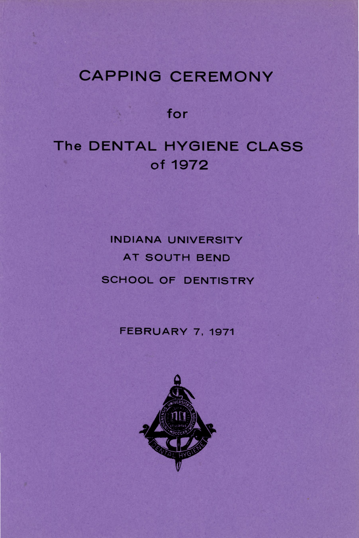## CAPPING CEREMONY

for

## The DENTAL HYGIENE CLASS of 1972

# INDIANA UNIVERSITY AT SOUTH BEND SCHOOL OF DENTISTRY

FEBRUARY 7, 1971

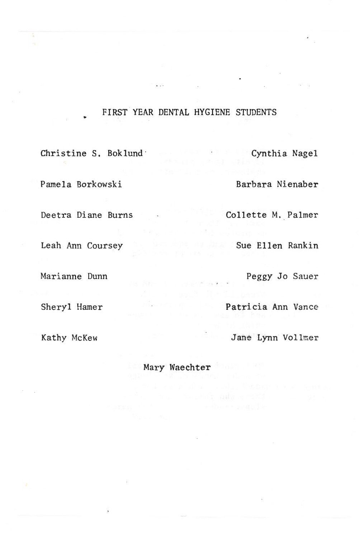## FIRST YEAR DENTAL HYGIENE STUDENTS

 $\ddotsc$ 

Christine S. Boklund · Cynthia Nagel Pamela Borkowski Barbara Nienaber Deetra Diane Burns Collette M. Palmer Leah Ann Coursey Sue Ellen Rankin Marianne Dunn Peggy Jo Sauer Sheryl Hamer Patricia Ann Vance Kathy McKew ... Jane Lynn Vollmer

Mary Waechter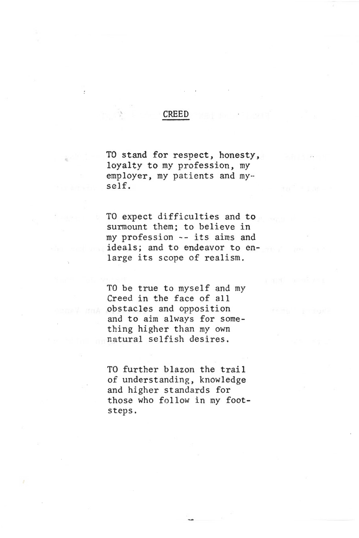### CREED

TO stand for respect, honesty, loyalty to my profession, *my*  employer, *my* patients and my-· self.

TO expect difficulties and to surmount them; to believe in *my* profession -- its aims and ideals; and to endeavor to enlarge its scope of realism.

TO be true to myself and my Creed in the face of all obstacles and opposition and to aim always for something higher than my *own*  natural selfish desires.

TO further blazon the trail of understanding, knowledge and higher st andards for those who follow in my footsteps.